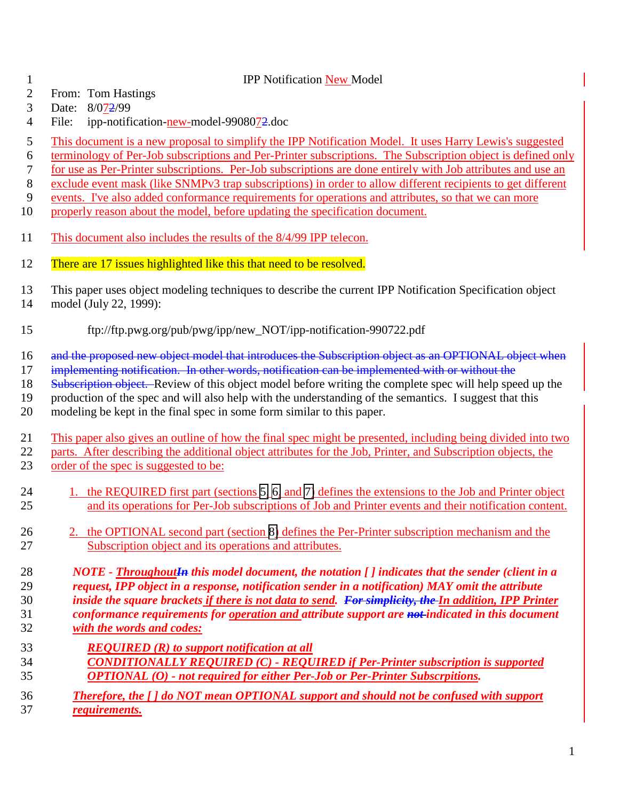## IPP Notification New Model

- From: Tom Hastings
- Date: 8/072/99
- 4 File: ipp-notification-new-model-9908072.doc
- This document is a new proposal to simplify the IPP Notification Model. It uses Harry Lewis's suggested
- terminology of Per-Job subscriptions and Per-Printer subscriptions. The Subscription object is defined only
- for use as Per-Printer subscriptions. Per-Job subscriptions are done entirely with Job attributes and use an
- exclude event mask (like SNMPv3 trap subscriptions) in order to allow different recipients to get different
- events. I've also added conformance requirements for operations and attributes, so that we can more
- properly reason about the model, before updating the specification document.
- This document also includes the results of the 8/4/99 IPP telecon.
- 12 There are 17 issues highlighted like this that need to be resolved.
- This paper uses object modeling techniques to describe the current IPP Notification Specification object model (July 22, 1999):
- ftp://ftp.pwg.org/pub/pwg/ipp/new\_NOT/ipp-notification-990722.pdf
- 16 and the proposed new object model that introduces the Subscription object as an OPTIONAL object when
- implementing notification. In other words, notification can be implemented with or without the
- 18 Subscription object. Review of this object model before writing the complete spec will help speed up the
- production of the spec and will also help with the understanding of the semantics. I suggest that this
- modeling be kept in the final spec in some form similar to this paper.
- This paper also gives an outline of how the final spec might be presented, including being divided into two parts. After describing the additional object attributes for the Job, Printer, and Subscription objects, the order of the spec is suggested to be:
- 24 1. the REQUIRED first part (sections [5,](#page-9-0) [6,](#page-10-0) and [7\)](#page-12-0) defines the extensions to the Job and Printer object and its operations for Per-Job subscriptions of Job and Printer events and their notification content.
- 26 2. the OPTIONAL second part (section [8\)](#page-13-0) defines the Per-Printer subscription mechanism and the Subscription object and its operations and attributes.
- *NOTE ThroughoutIn this model document, the notation [ ] indicates that the sender (client in a request, IPP object in a response, notification sender in a notification) MAY omit the attribute inside the square brackets if there is not data to send. For simplicity, the In addition, IPP Printer conformance requirements for operation and attribute support are not indicated in this document*
- *with the words and codes:*
	- *REQUIRED (R) to support notification at all CONDITIONALLY REQUIRED (C) - REQUIRED if Per-Printer subscription is supported OPTIONAL (O) - not required for either Per-Job or Per-Printer Subscrpitions.*
	- *Therefore, the [ ] do NOT mean OPTIONAL support and should not be confused with support requirements.*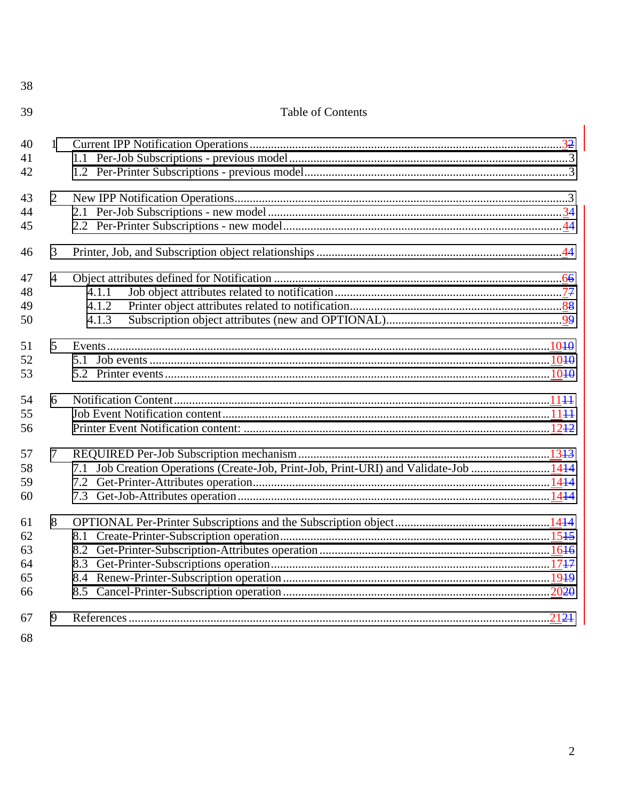**Table of Contents**  $\mathbf{1}$  $\mathcal{D}_{\mathcal{L}}$  $\overline{4}$  $4.1.1$  $4.1.2$  $4.1.3$  $\tau$ 7.1 Job Creation Operations (Create-Job, Print-Job, Print-URI) and Validate-Job .......................... 1414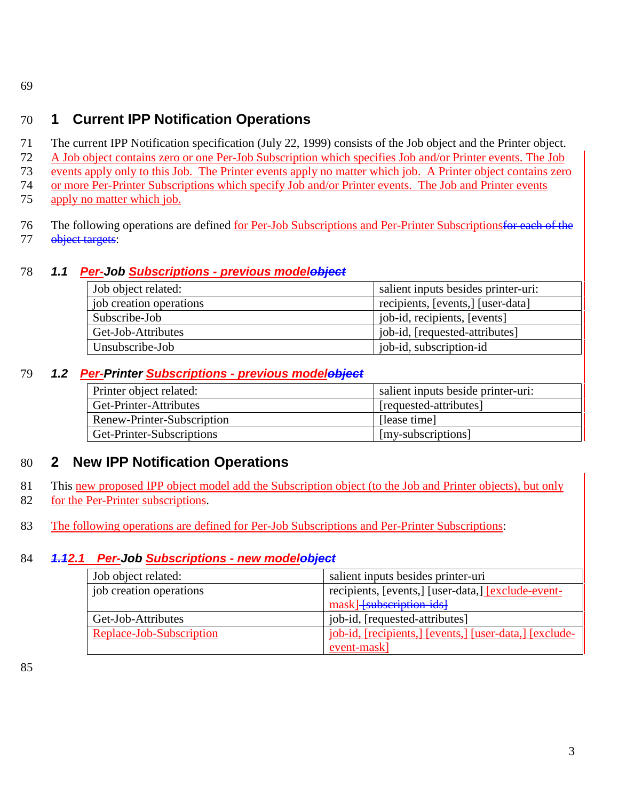<span id="page-2-0"></span>69

# 70 **1 Current IPP Notification Operations**

 The current IPP Notification specification (July 22, 1999) consists of the Job object and the Printer object. A Job object contains zero or one Per-Job Subscription which specifies Job and/or Printer events. The Job events apply only to this Job. The Printer events apply no matter which job. A Printer object contains zero or more Per-Printer Subscriptions which specify Job and/or Printer events. The Job and Printer events

- 75 apply no matter which job.
- 76 The following operations are defined for Per-Job Subscriptions and Per-Printer Subscriptions for each of the 77 object targets:

# 78 *1.1 Per-Job Subscriptions - previous modelobject*

| Job object related:     | salient inputs besides printer-uri: |  |
|-------------------------|-------------------------------------|--|
| job creation operations | recipients, [events,] [user-data]   |  |
| Subscribe-Job           | job-id, recipients, [events]        |  |
| Get-Job-Attributes      | job-id, [requested-attributes]      |  |
| Unsubscribe-Job         | job-id, subscription-id             |  |

## 79 *1.2 Per-Printer Subscriptions - previous modelobject*

| Printer object related:    | salient inputs beside printer-uri: |
|----------------------------|------------------------------------|
| Get-Printer-Attributes     | [requested-attributes]             |
| Renew-Printer-Subscription | [lease time]                       |
| Get-Printer-Subscriptions  | [my-subscriptions]                 |

# 80 **2 New IPP Notification Operations**

- 81 This new proposed IPP object model add the Subscription object (to the Job and Printer objects), but only
- 82 for the Per-Printer subscriptions.
- 83 The following operations are defined for Per-Job Subscriptions and Per-Printer Subscriptions:

## 84 *1.12.1 Per-Job Subscriptions - new modelobject*

| Job object related:      | salient inputs besides printer-uri                     |
|--------------------------|--------------------------------------------------------|
| job creation operations  | recipients, [events,] [user-data,] [exclude-event-     |
|                          | mask] [subscription-ids]                               |
| Get-Job-Attributes       | job-id, [requested-attributes]                         |
| Replace-Job-Subscription | job-id, [recipients,] [events,] [user-data,] [exclude- |
|                          | event-mask]                                            |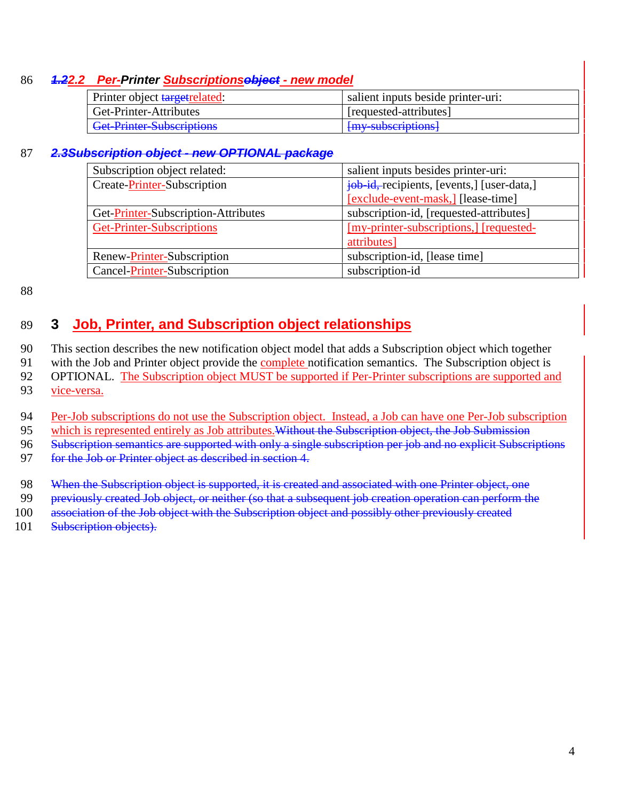## <span id="page-3-0"></span>86 *1.22.2 Per-Printer Subscriptionsobject - new model*

| Printer object target related:   | salient inputs beside printer-uri: |
|----------------------------------|------------------------------------|
| Get-Printer-Attributes           | [requested-attributes]             |
| <b>Get-Printer-Subscriptions</b> | [my subscriptions]                 |

#### 87 *2.3Subscription object - new OPTIONAL package*

| Subscription object related:        | salient inputs besides printer-uri:        |
|-------------------------------------|--------------------------------------------|
| Create-Printer-Subscription         | job-id,-recipients, [events,] [user-data,] |
|                                     | [exclude-event-mask,] [lease-time]         |
| Get-Printer-Subscription-Attributes | subscription-id, [requested-attributes]    |
| Get-Printer-Subscriptions           | [my-printer-subscriptions,] [requested-    |
|                                     | attributes]                                |
| Renew-Printer-Subscription          | subscription-id, [lease time]              |
| Cancel-Printer-Subscription         | subscription-id                            |

88

# 89 **3 Job, Printer, and Subscription object relationships**

90 This section describes the new notification object model that adds a Subscription object which together

91 with the Job and Printer object provide the complete notification semantics. The Subscription object is

92 OPTIONAL. The Subscription object MUST be supported if Per-Printer subscriptions are supported and 93 vice-versa.

94 Per-Job subscriptions do not use the Subscription object. Instead, a Job can have one Per-Job subscription

95 which is represented entirely as Job attributes. Without the Subscription object, the Job Submission

96 Subscription semantics are supported with only a single subscription per job and no explicit Subscriptions

97 for the Job or Printer object as described in section 4.

98 When the Subscription object is supported, it is created and associated with one Printer object, one

99 previously created Job object, or neither (so that a subsequent job creation operation can perform the

100 association of the Job object with the Subscription object and possibly other previously created

101 Subscription objects).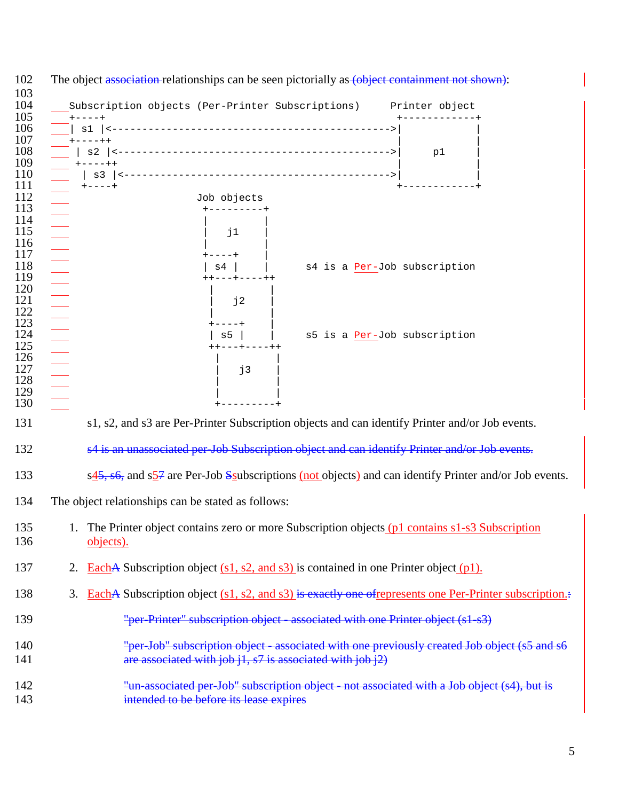| 102        | The object association-relationships can be seen pictorially as (object containment not shown):                                 |
|------------|---------------------------------------------------------------------------------------------------------------------------------|
| 103<br>104 | Subscription objects (Per-Printer Subscriptions) Printer object                                                                 |
| 105        | $+ - - - +$                                                                                                                     |
| 106        |                                                                                                                                 |
| 107<br>108 | $+ - - - + +$                                                                                                                   |
| 109        | p1<br>$+ - - - - + +$                                                                                                           |
| 110        |                                                                                                                                 |
| 111        | $+ - - - +$                                                                                                                     |
| 112        | Job objects                                                                                                                     |
| 113<br>114 |                                                                                                                                 |
| 115        | j1                                                                                                                              |
| 116        |                                                                                                                                 |
| 117        |                                                                                                                                 |
| 118        | s4 is a Per-Job subscription<br>s4                                                                                              |
| 119        | $- - + - - - - + +$                                                                                                             |
| 120<br>121 |                                                                                                                                 |
| 122        | j2                                                                                                                              |
| 123        |                                                                                                                                 |
| 124        | s5 is a Per-Job subscription<br>s5                                                                                              |
| 125        | ++---+----++                                                                                                                    |
| 126<br>127 |                                                                                                                                 |
| 128        | j3                                                                                                                              |
| 129        |                                                                                                                                 |
| 130        | -------+                                                                                                                        |
| 131        | s1, s2, and s3 are Per-Printer Subscription objects and can identify Printer and/or Job events.                                 |
| 132        | s4 is an unassociated per-Job Subscription object and can identify Printer and/or Job events.                                   |
| 133        | $s\frac{45}{35}$ , s6, and $s\frac{57}{3}$ are Per-Job Ssubscriptions (not objects) and can identify Printer and/or Job events. |
| 134        | The object relationships can be stated as follows:                                                                              |
| 135<br>136 | 1. The Printer object contains zero or more Subscription objects (p1 contains s1-s3 Subscription<br>objects).                   |
| 137        | EachA Subscription object $(s1, s2, and s3)$ is contained in one Printer object (p1).<br>2.                                     |
| 138        | EachA Subscription object $(s1, s2, and s3)$ is exactly one of represents one Per-Printer subscription.<br>3.                   |
| 139        | "per-Printer" subscription object - associated with one Printer object (s1-s3)                                                  |
| 140        | "per Job" subscription object - associated with one previously created Job object (s5 and s6                                    |
| 141        | are associated with job $i1$ , $s7$ is associated with job $i2$ )                                                               |
|            |                                                                                                                                 |
| 142        | "un-associated per-Job" subscription object - not associated with a Job object (s4), but is                                     |
| 143        | intended to be before its lease expires                                                                                         |
|            |                                                                                                                                 |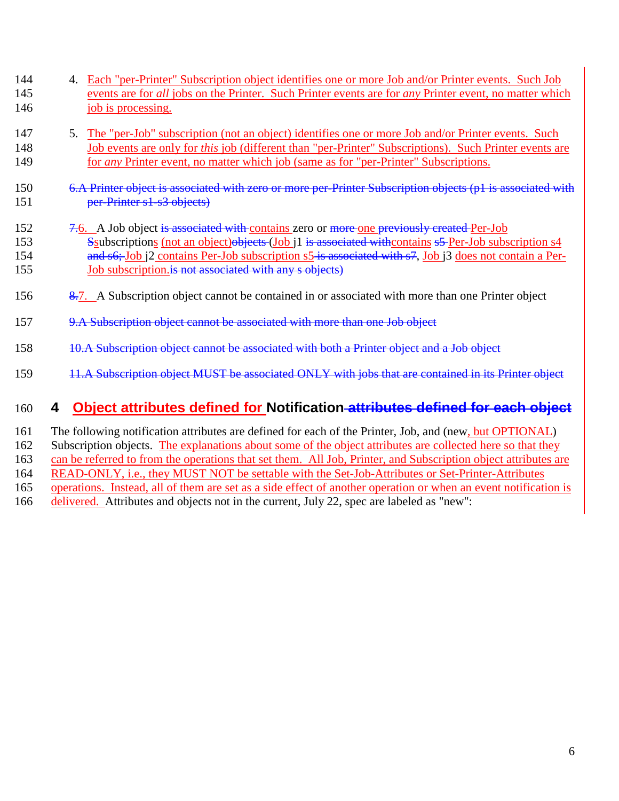- <span id="page-5-0"></span>144 4. Each "per-Printer" Subscription object identifies one or more Job and/or Printer events. Such Job 145 events are for *all* jobs on the Printer. Such Printer events are for *any* Printer event, no matter which 146 job is processing.
- 147 5. The "per-Job" subscription (not an object) identifies one or more Job and/or Printer events. Such 148 Job events are only for *this* job (different than "per-Printer" Subscriptions). Such Printer events are 149 for *any* Printer event, no matter which job (same as for "per-Printer" Subscriptions.
- 150 6.A Printer object is associated with zero or more per-Printer Subscription objects (p1 is associated with 151 per-Printer s1-s3 objects)
- 152 7.6. A Job object is associated with contains zero or more one previously created Per-Job 153 Ssubscriptions (not an object)objects (Job j1 is associated with contains s5 Per-Job subscription s4 154 and s6; Job i2 contains Per-Job subscription s5 is associated with s7, Job i3 does not contain a Per-155 Job subscription. is not associated with any s objects)
- 156 8.7. A Subscription object cannot be contained in or associated with more than one Printer object
- 157 9.A Subscription object cannot be associated with more than one Job object
- 158 10.A Subscription object cannot be associated with both a Printer object and a Job object
- 159 11.A Subscription object MUST be associated ONLY with jobs that are contained in its Printer object

## 160 **4 Object attributes defined for Notification attributes defined for each object**

161 The following notification attributes are defined for each of the Printer, Job, and (new, but OPTIONAL) 162 Subscription objects. The explanations about some of the object attributes are collected here so that they 163 can be referred to from the operations that set them. All Job, Printer, and Subscription object attributes are

164 READ-ONLY, i.e., they MUST NOT be settable with the Set-Job-Attributes or Set-Printer-Attributes

- 165 operations. Instead, all of them are set as a side effect of another operation or when an event notification is
- 166 delivered. Attributes and objects not in the current, July 22, spec are labeled as "new":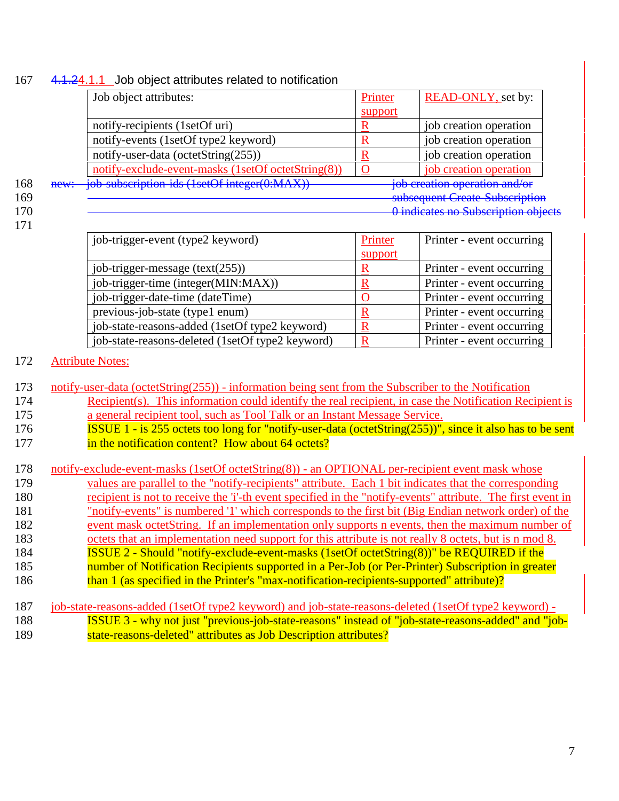## <span id="page-6-0"></span>167 4.1.24.1.1 Job object attributes related to notification

|     |      | Job object attributes:                             | Printer | <b>READ-ONLY</b> , set by:          |
|-----|------|----------------------------------------------------|---------|-------------------------------------|
|     |      |                                                    | support |                                     |
|     |      | notify-recipients (1setOf uri)                     |         | job creation operation              |
|     |      | notify-events (1setOf type2 keyword)               |         | job creation operation              |
|     |      | notify-user-data (octetString(255))                |         | job creation operation              |
|     |      | notify-exclude-event-masks (1setOf octetString(8)) |         | job creation operation              |
| 168 | new: | job subscription ids (1setOf integer(0:MAX))       |         | job creation operation and/or       |
| 169 |      |                                                    |         | subsequent Create Subscription      |
| 170 |      |                                                    |         | O indicates no Subscription objects |
| 171 |      |                                                    |         |                                     |

171

| job-trigger-event (type2 keyword)                | Printer     | Printer - event occurring |
|--------------------------------------------------|-------------|---------------------------|
|                                                  | support     |                           |
| job-trigger-message $(text(255))$                |             | Printer - event occurring |
| job-trigger-time (integer(MIN:MAX))              | R           | Printer - event occurring |
| job-trigger-date-time (dateTime)                 |             | Printer - event occurring |
| previous-job-state (type1 enum)                  |             | Printer - event occurring |
| job-state-reasons-added (1setOf type2 keyword)   | R           | Printer - event occurring |
| job-state-reasons-deleted (1setOf type2 keyword) | $\mathbf R$ | Printer - event occurring |

## 172 Attribute Notes:

| 173 notify-user-data (octetString(255)) - information being sent from the Subscriber to the Notification |  |
|----------------------------------------------------------------------------------------------------------|--|
|                                                                                                          |  |

- 174 Recipient(s). This information could identify the real recipient, in case the Notification Recipient is 175 a general recipient tool, such as Tool Talk or an Instant Message Service.
- 176 **ISSUE 1 is 255 octets too long for "notify-user-data (octetString(255))", since it also has to be sent** 177 **in the notification content?** How about 64 octets?

| 178 | notify-exclude-event-masks (1setOf octetString(8)) - an OPTIONAL per-recipient event mask whose             |
|-----|-------------------------------------------------------------------------------------------------------------|
| 179 | values are parallel to the "notify-recipients" attribute. Each 1 bit indicates that the corresponding       |
| 180 | recipient is not to receive the 'i'-th event specified in the "notify-events" attribute. The first event in |
| 181 | "notify-events" is numbered '1' which corresponds to the first bit (Big Endian network order) of the        |
| 182 | event mask octetString. If an implementation only supports n events, then the maximum number of             |
| 183 | octets that an implementation need support for this attribute is not really 8 octets, but is n mod 8.       |
| 184 | <b>ISSUE 2 - Should "notify-exclude-event-masks (1setOf octetString(8))" be REQUIRED if the</b>             |
| 185 | number of Notification Recipients supported in a Per-Job (or Per-Printer) Subscription in greater           |
| 186 | than 1 (as specified in the Printer's "max-notification-recipients-supported" attribute)?                   |
|     |                                                                                                             |
| 187 | job-state-reasons-added (1setOf type2 keyword) and job-state-reasons-deleted (1setOf type2 keyword) -       |
| 188 | ISSUE 3 - why not just "previous-job-state-reasons" instead of "job-state-reasons-added" and "job-          |

189 state-reasons-deleted" attributes as Job Description attributes?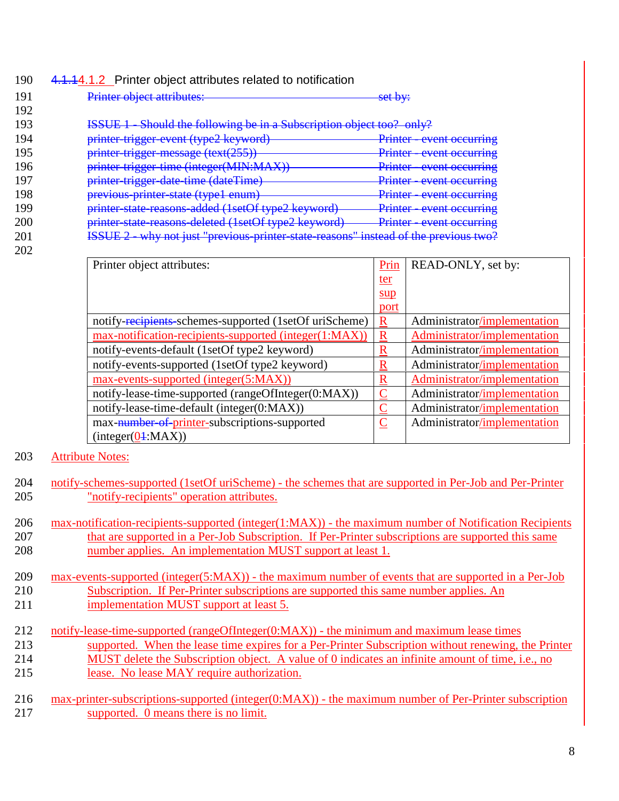## <span id="page-7-0"></span>190 4.1.14.1.2 Printer object attributes related to notification

| 191 | Printer object attributes:                                                                                                                                          | <u>oat hyv</u><br>$\overline{\text{out}}$ $\overline{\text{out}}$                     |
|-----|---------------------------------------------------------------------------------------------------------------------------------------------------------------------|---------------------------------------------------------------------------------------|
| 192 |                                                                                                                                                                     |                                                                                       |
| 193 | Should the following be in a Subscription object too? only?                                                                                                         |                                                                                       |
| 194 | printer trigger graph (type) kayword)<br>$p$ mici urggor ovcht (typez Reyword)                                                                                      | $Drintar$ <i>event occurring</i><br>I STITUTE VYVIII VYVUTITI?                        |
| 195 | $n$ rinter-trigger-message (text(255))<br>$p_{1}$ mu urggu mossage (text(233))                                                                                      | Drintar avant occurring<br><u>UVUIL UUULIITIIR</u><br><b>JULIUS</b>                   |
| 196 | printer trigger time (integer(MIN-MAV))<br><del>pmici-uigger-ume (megel(why.wi/yy)</del>                                                                            | $Drintor$ <i><u>avant accurring</u></i><br><b>UVUII UUUIIIIIIII</b><br><b>ISSUED:</b> |
| 197 | printer trigger date time (dateTime)                                                                                                                                | Drintor<br><u>avent occurring</u><br><u>UVUII UUUIIIIIIZ</u><br><b>BURGERY</b>        |
| 198 | <u>nrevious printer state (type)</u> enum)<br><b>PICYROUS PHINCE SIGN (CYPOT CHUIH)</b>                                                                             | Drintar<br>avent occurring<br><u>UVUIN UUUNINING</u><br><b>ISBN 494</b>               |
| 199 | printer-state-reasons-added (1setOf type2 keyword)                                                                                                                  | $Drintar$ <i>event occurring</i><br><b>TENNIUS EEU YUNIU UUUUNIN</b>                  |
| 200 | printer-state-reasons-deleted (1setOf type2 keyword)                                                                                                                | $Drintor$ $avar$ $ocurrina$<br><u> 1 HHUT - UVUII OUUHHIP</u>                         |
| 201 | тесттв э<br>why not just "prayious printer state reasons" instead of the previous two?<br><u>wny not just – previous-prilliel-state-feasoffs</u><br><b>TODOUT 4</b> | IINIVAT VEHT DEVIOINTIVO                                                              |

202

| Printer object attributes:                             |                         | READ-ONLY, set by:           |
|--------------------------------------------------------|-------------------------|------------------------------|
|                                                        | <u>ter</u>              |                              |
|                                                        | $\frac{\text{sup}}{\ }$ |                              |
|                                                        | port                    |                              |
| notify-recipients-schemes-supported (1setOf uriScheme) | $\mathbf R$             | Administrator/implementation |
| max-notification-recipients-supported (integer(1:MAX)) | R                       | Administrator/implementation |
| notify-events-default (1setOf type2 keyword)           | R                       | Administrator/implementation |
| notify-events-supported (1setOf type2 keyword)         | R                       | Administrator/implementation |
| max-events-supported (integer(5:MAX))                  | R                       | Administrator/implementation |
| notify-lease-time-supported (rangeOfInteger(0:MAX))    |                         | Administrator/implementation |
| notify-lease-time-default (integer(0:MAX))             |                         | Administrator/implementation |
| max-number of-printer-subscriptions-supported          | $\overline{\mathsf{C}}$ | Administrator/implementation |
| (integer( <u>Q</u> 4:MAX))                             |                         |                              |

## 203 Attribute Notes:

- 204 notify-schemes-supported (1setOf uriScheme) the schemes that are supported in Per-Job and Per-Printer 205 "notify-recipients" operation attributes.
- 206 max-notification-recipients-supported (integer(1:MAX)) the maximum number of Notification Recipients 207 that are supported in a Per-Job Subscription. If Per-Printer subscriptions are supported this same 208 number applies. An implementation MUST support at least 1.
- 209 max-events-supported (integer(5:MAX)) the maximum number of events that are supported in a Per-Job 210 Subscription. If Per-Printer subscriptions are supported this same number applies. An 211 **implementation MUST** support at least 5.
- 212 notify-lease-time-supported (rangeOfInteger(0:MAX)) the minimum and maximum lease times 213 supported. When the lease time expires for a Per-Printer Subscription without renewing, the Printer 214 MUST delete the Subscription object. A value of 0 indicates an infinite amount of time, i.e., no 215 lease. No lease MAY require authorization.
- 216 max-printer-subscriptions-supported (integer(0:MAX)) the maximum number of Per-Printer subscription 217 supported. 0 means there is no limit.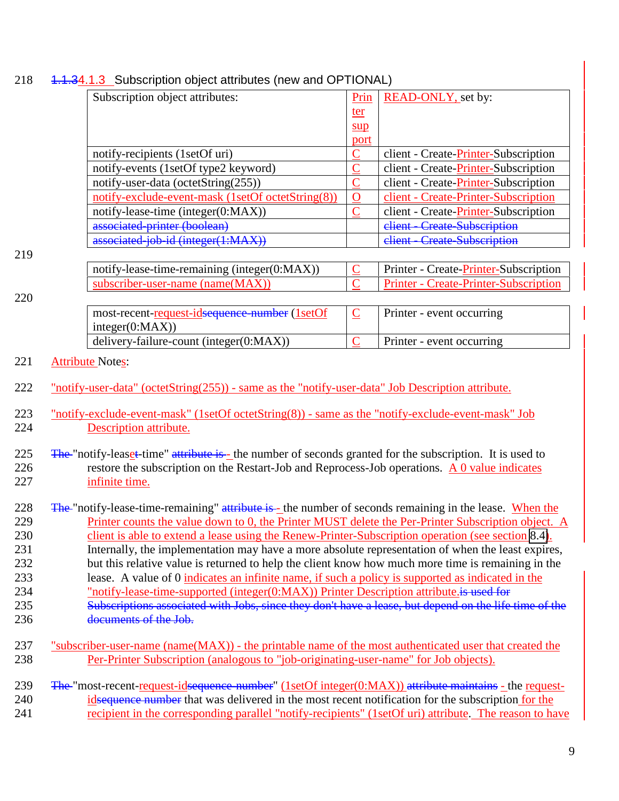|                                                             | Subscription object attributes:                                                                                                                                                                                                                                                                                                                                                                                                                                                                                                                                                                                                                                                                                                                                                                                                                                | Prin                            | READ-ONLY, set by:                           |  |
|-------------------------------------------------------------|----------------------------------------------------------------------------------------------------------------------------------------------------------------------------------------------------------------------------------------------------------------------------------------------------------------------------------------------------------------------------------------------------------------------------------------------------------------------------------------------------------------------------------------------------------------------------------------------------------------------------------------------------------------------------------------------------------------------------------------------------------------------------------------------------------------------------------------------------------------|---------------------------------|----------------------------------------------|--|
|                                                             |                                                                                                                                                                                                                                                                                                                                                                                                                                                                                                                                                                                                                                                                                                                                                                                                                                                                | ter                             |                                              |  |
|                                                             |                                                                                                                                                                                                                                                                                                                                                                                                                                                                                                                                                                                                                                                                                                                                                                                                                                                                | $\frac{\text{sup}}{\text{sup}}$ |                                              |  |
|                                                             |                                                                                                                                                                                                                                                                                                                                                                                                                                                                                                                                                                                                                                                                                                                                                                                                                                                                | port                            |                                              |  |
|                                                             | notify-recipients (1setOf uri)                                                                                                                                                                                                                                                                                                                                                                                                                                                                                                                                                                                                                                                                                                                                                                                                                                 | $\overline{\mathsf{C}}$         | client - Create-Printer-Subscription         |  |
|                                                             | notify-events (1setOf type2 keyword)                                                                                                                                                                                                                                                                                                                                                                                                                                                                                                                                                                                                                                                                                                                                                                                                                           | $\mathbf C$                     | client - Create-Printer-Subscription         |  |
|                                                             | notify-user-data (octetString(255))                                                                                                                                                                                                                                                                                                                                                                                                                                                                                                                                                                                                                                                                                                                                                                                                                            | $\overline{C}$                  | client - Create-Printer-Subscription         |  |
|                                                             | notify-exclude-event-mask (1setOf octetString(8))                                                                                                                                                                                                                                                                                                                                                                                                                                                                                                                                                                                                                                                                                                                                                                                                              | $\mathbf O$                     | client - Create-Printer-Subscription         |  |
|                                                             | notify-lease-time (integer(0:MAX))                                                                                                                                                                                                                                                                                                                                                                                                                                                                                                                                                                                                                                                                                                                                                                                                                             | $\overline{C}$                  | client - Create-Printer-Subscription         |  |
|                                                             | associated printer (boolean)                                                                                                                                                                                                                                                                                                                                                                                                                                                                                                                                                                                                                                                                                                                                                                                                                                   |                                 | <b>Create-Subscription</b><br>client-        |  |
|                                                             | associated job id (integer(1:MAX))                                                                                                                                                                                                                                                                                                                                                                                                                                                                                                                                                                                                                                                                                                                                                                                                                             |                                 | elient<br><b>Create Subscription</b>         |  |
| 219                                                         |                                                                                                                                                                                                                                                                                                                                                                                                                                                                                                                                                                                                                                                                                                                                                                                                                                                                |                                 |                                              |  |
|                                                             | notify-lease-time-remaining (integer(0:MAX))                                                                                                                                                                                                                                                                                                                                                                                                                                                                                                                                                                                                                                                                                                                                                                                                                   | $\mathbf C$                     | Printer - Create-Printer-Subscription        |  |
|                                                             | subscriber-user-name (name(MAX))                                                                                                                                                                                                                                                                                                                                                                                                                                                                                                                                                                                                                                                                                                                                                                                                                               | $\overline{C}$                  | <b>Printer - Create-Printer-Subscription</b> |  |
| 220                                                         | most-recent-request-idsequence number (1setOf                                                                                                                                                                                                                                                                                                                                                                                                                                                                                                                                                                                                                                                                                                                                                                                                                  | $\underline{C}$                 | Printer - event occurring                    |  |
|                                                             | integer(0:MAX))                                                                                                                                                                                                                                                                                                                                                                                                                                                                                                                                                                                                                                                                                                                                                                                                                                                |                                 |                                              |  |
|                                                             | delivery-failure-count (integer(0:MAX))                                                                                                                                                                                                                                                                                                                                                                                                                                                                                                                                                                                                                                                                                                                                                                                                                        | $\overline{C}$                  | Printer - event occurring                    |  |
| 221                                                         | <b>Attribute Notes:</b>                                                                                                                                                                                                                                                                                                                                                                                                                                                                                                                                                                                                                                                                                                                                                                                                                                        |                                 |                                              |  |
|                                                             |                                                                                                                                                                                                                                                                                                                                                                                                                                                                                                                                                                                                                                                                                                                                                                                                                                                                |                                 |                                              |  |
| 222                                                         | "notify-user-data" (octetString(255)) - same as the "notify-user-data" Job Description attribute.                                                                                                                                                                                                                                                                                                                                                                                                                                                                                                                                                                                                                                                                                                                                                              |                                 |                                              |  |
| 223<br>224                                                  | "notify-exclude-event-mask" (1setOf octetString(8)) - same as the "notify-exclude-event-mask" Job<br>Description attribute.                                                                                                                                                                                                                                                                                                                                                                                                                                                                                                                                                                                                                                                                                                                                    |                                 |                                              |  |
| 225<br>226<br>227                                           | The "notify-leaset-time" attribute is-the number of seconds granted for the subscription. It is used to<br>restore the subscription on the Restart-Job and Reprocess-Job operations. A 0 value indicates<br>infinite time.                                                                                                                                                                                                                                                                                                                                                                                                                                                                                                                                                                                                                                     |                                 |                                              |  |
| 228<br>229<br>230<br>231<br>232<br>233<br>234<br>235<br>236 | The "notify-lease-time-remaining" attribute is-the number of seconds remaining in the lease. When the<br>Printer counts the value down to 0, the Printer MUST delete the Per-Printer Subscription object. A<br>client is able to extend a lease using the Renew-Printer-Subscription operation (see section 8.4).<br>Internally, the implementation may have a more absolute representation of when the least expires,<br>but this relative value is returned to help the client know how much more time is remaining in the<br>lease. A value of 0 indicates an infinite name, if such a policy is supported as indicated in the<br>"notify-lease-time-supported (integer(0:MAX)) Printer Description attribute.is used for<br>Subscriptions associated with Jobs, since they don't have a lease, but depend on the life time of the<br>documents of the Job. |                                 |                                              |  |
| 237<br>238<br>239<br>240<br>241                             | <u>"subscriber-user-name (name<math>(MAX)</math>) - the printable name of the most authenticated user that created the</u><br>Per-Printer Subscription (analogous to "job-originating-user-name" for Job objects).<br>The "most-recent-request-idsequence-number" (1setOf integer(0:MAX)) attribute maintains - the request-<br>idsequence number that was delivered in the most recent notification for the subscription for the<br>recipient in the corresponding parallel "notify-recipients" (1setOf uri) attribute. The reason to have                                                                                                                                                                                                                                                                                                                    |                                 |                                              |  |
|                                                             |                                                                                                                                                                                                                                                                                                                                                                                                                                                                                                                                                                                                                                                                                                                                                                                                                                                                |                                 |                                              |  |

# <span id="page-8-0"></span>218 4.1.34.1.3 Subscription object attributes (new and OPTIONAL)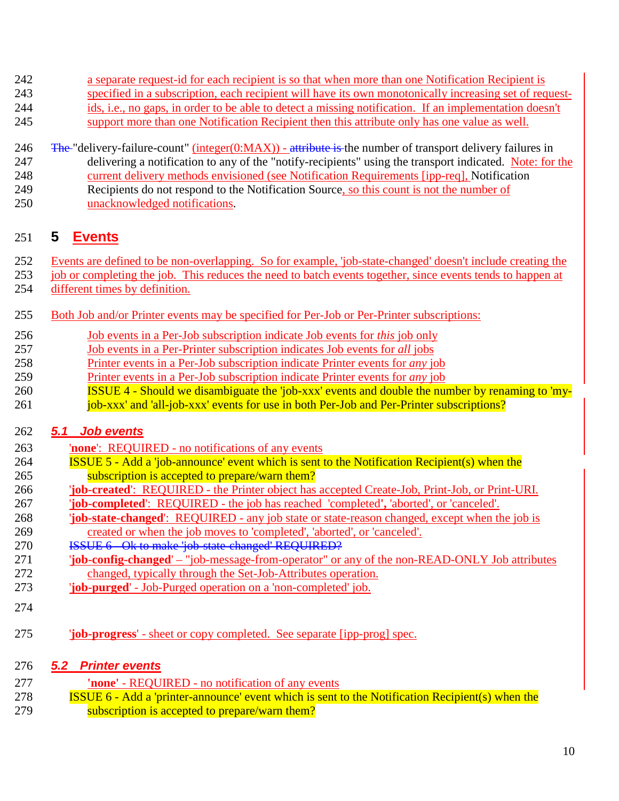- <span id="page-9-0"></span>a separate request-id for each recipient is so that when more than one Notification Recipient is
- specified in a subscription, each recipient will have its own monotonically increasing set of request-ids, i.e., no gaps, in order to be able to detect a missing notification. If an implementation doesn't
- support more than one Notification Recipient then this attribute only has one value as well.
- 
- 246 The "delivery-failure-count" (integer( $0:MAX$ ) attribute is the number of transport delivery failures in 247 delivering a notification to any of the "notify-recipients" using the transport indicated. Note: for the current delivery methods envisioned (see Notification Requirements [ipp-req], Notification Recipients do not respond to the Notification Source, so this count is not the number of
- unacknowledged notifications.

# **5 Events**

- Events are defined to be non-overlapping. So for example, 'job-state-changed' doesn't include creating the
- job or completing the job. This reduces the need to batch events together, since events tends to happen at different times by definition.
- 255 Both Job and/or Printer events may be specified for Per-Job or Per-Printer subscriptions:
- Job events in a Per-Job subscription indicate Job events for *this* job only
- Job events in a Per-Printer subscription indicates Job events for *all* jobs
- Printer events in a Per-Job subscription indicate Printer events for *any* job
- Printer events in a Per-Job subscription indicate Printer events for *any* job
- ISSUE 4 Should we disambiguate the 'job-xxx' events and double the number by renaming to 'my-261 job-xxx' and 'all-job-xxx' events for use in both Per-Job and Per-Printer subscriptions?

## *5.1 Job events*

- '**none**': REQUIRED no notifications of any events
- ISSUE 5 Add a 'job-announce' event which is sent to the Notification Recipient(s) when the subscription is accepted to prepare/warn them?
- '**job-created**': REQUIRED the Printer object has accepted Create-Job, Print-Job, or Print-URI.
- '**job-completed**': REQUIRED the job has reached 'completed**',** 'aborted', or 'canceled'.
- '**job-state-changed**': REQUIRED any job state or state-reason changed, except when the job is created or when the job moves to 'completed', 'aborted', or 'canceled'.
- **ISSUE 6** Ok to make 'job-state-changed' REQUIRED?
- '**job-config-changed**' "job-message-from-operator" or any of the non-READ-ONLY Job attributes changed, typically through the Set-Job-Attributes operation.
- '**job-purged**' Job-Purged operation on a 'non-completed' job.
- 
- '**job-progress**' sheet or copy completed. See separate [ipp-prog] spec.

## *5.2 Printer events*

 **'none'** - REQUIRED - no notification of any events ISSUE 6 - Add a 'printer-announce' event which is sent to the Notification Recipient(s) when the subscription is accepted to prepare/warn them?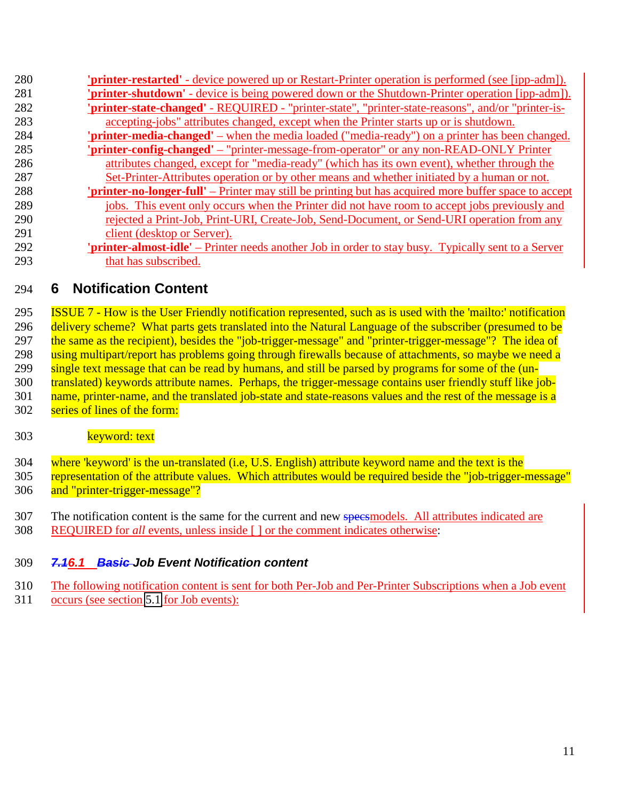<span id="page-10-0"></span>

| 280 | <b>'printer-restarted'</b> - device powered up or Restart-Printer operation is performed (see [ipp-adm]).    |
|-----|--------------------------------------------------------------------------------------------------------------|
| 281 | 'printer-shutdown' - device is being powered down or the Shutdown-Printer operation [ipp-adm]).              |
| 282 | 'printer-state-changed' - REQUIRED - "printer-state", "printer-state-reasons", and/or "printer-is-           |
| 283 | accepting-jobs" attributes changed, except when the Printer starts up or is shutdown.                        |
| 284 | ' <b>printer-media-changed'</b> – when the media loaded ("media-ready") on a printer has been changed.       |
| 285 | 'printer-config-changed' – "printer-message-from-operator" or any non-READ-ONLY Printer                      |
| 286 | attributes changed, except for "media-ready" (which has its own event), whether through the                  |
| 287 | Set-Printer-Attributes operation or by other means and whether initiated by a human or not.                  |
| 288 | <b>'printer-no-longer-full'</b> – Printer may still be printing but has acquired more buffer space to accept |
| 289 | jobs. This event only occurs when the Printer did not have room to accept jobs previously and                |
| 290 | rejected a Print-Job, Print-URI, Create-Job, Send-Document, or Send-URI operation from any                   |
| 291 | client (desktop or Server).                                                                                  |
| 292 | 'printer-almost-idle' – Printer needs another Job in order to stay busy. Typically sent to a Server          |
| 293 | that has subscribed.                                                                                         |

# **6 Notification Content**

 ISSUE 7 - How is the User Friendly notification represented, such as is used with the 'mailto:' notification delivery scheme? What parts gets translated into the Natural Language of the subscriber (presumed to be 297 the same as the recipient), besides the "job-trigger-message" and "printer-trigger-message"? The idea of 298 using multipart/report has problems going through firewalls because of attachments, so maybe we need a single text message that can be read by humans, and still be parsed by programs for some of the (un- translated) keywords attribute names. Perhaps, the trigger-message contains user friendly stuff like job-301 name, printer-name, and the translated job-state and state-reasons values and the rest of the message is a series of lines of the form:

## 303 keyword: text

 where 'keyword' is the un-translated (i.e, U.S. English) attribute keyword name and the text is the 305 representation of the attribute values. Which attributes would be required beside the "job-trigger-message" and "printer-trigger-message"?

- 307 The notification content is the same for the current and new speesmodels. All attributes indicated are
- REQUIRED for *all* events, unless inside [ ] or the comment indicates otherwise:

## *7.16.1 Basic Job Event Notification content*

- The following notification content is sent for both Per-Job and Per-Printer Subscriptions when a Job event
- occurs (see section [5.1](#page-9-0) for Job events):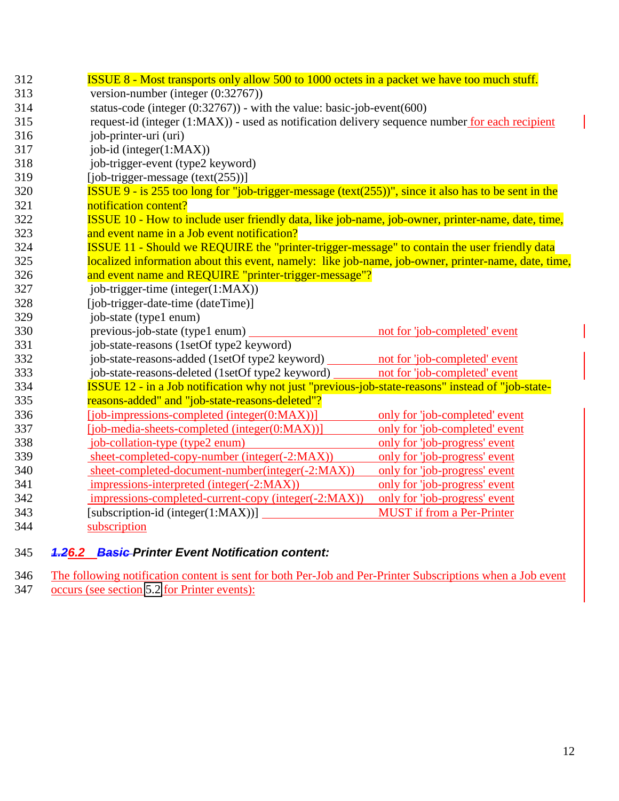<span id="page-11-0"></span>

| 312 | <b>ISSUE 8 - Most transports only allow 500 to 1000 octets in a packet we have too much stuff.</b>              |                                   |  |
|-----|-----------------------------------------------------------------------------------------------------------------|-----------------------------------|--|
| 313 | version-number (integer $(0.32767)$ )                                                                           |                                   |  |
| 314 | status-code (integer $(0.32767)$ ) - with the value: basic-job-event $(600)$                                    |                                   |  |
| 315 | request-id (integer (1:MAX)) - used as notification delivery sequence number for each recipient                 |                                   |  |
| 316 | job-printer-uri (uri)                                                                                           |                                   |  |
| 317 | job-id (integer(1:MAX))                                                                                         |                                   |  |
| 318 | job-trigger-event (type2 keyword)                                                                               |                                   |  |
| 319 | $[job-trigger-message (text(255))]$                                                                             |                                   |  |
| 320 | <b>ISSUE 9</b> - is 255 too long for "job-trigger-message (text( $255$ ))", since it also has to be sent in the |                                   |  |
| 321 | notification content?                                                                                           |                                   |  |
| 322 | ISSUE 10 - How to include user friendly data, like job-name, job-owner, printer-name, date, time,               |                                   |  |
| 323 | and event name in a Job event notification?                                                                     |                                   |  |
| 324 | <b>ISSUE 11 - Should we REQUIRE the "printer-trigger-message" to contain the user friendly data</b>             |                                   |  |
| 325 | localized information about this event, namely: like job-name, job-owner, printer-name, date, time,             |                                   |  |
| 326 | and event name and REQUIRE "printer-trigger-message"?                                                           |                                   |  |
| 327 | job-trigger-time (integer(1:MAX))                                                                               |                                   |  |
| 328 | [job-trigger-date-time (dateTime)]                                                                              |                                   |  |
| 329 | job-state (type1 enum)                                                                                          |                                   |  |
| 330 | previous-job-state (type1 enum)                                                                                 | not for 'job-completed' event     |  |
| 331 | job-state-reasons (1setOf type2 keyword)                                                                        |                                   |  |
| 332 | job-state-reasons-added (1setOf type2 keyword) not for 'job-completed' event                                    |                                   |  |
| 333 | job-state-reasons-deleted (1setOf type2 keyword)                                                                | not for 'job-completed' event     |  |
| 334 | ISSUE 12 - in a Job notification why not just "previous-job-state-reasons" instead of "job-state-               |                                   |  |
| 335 | reasons-added" and "job-state-reasons-deleted"?                                                                 |                                   |  |
| 336 | $[job\text{-}impressions-completed (integer(0:MAX))]$                                                           | only for 'job-completed' event    |  |
| 337 | [job-media-sheets-completed (integer(0:MAX))]                                                                   | only for 'job-completed' event    |  |
| 338 | job-collation-type (type2 enum)                                                                                 | only for 'job-progress' event     |  |
| 339 | sheet-completed-copy-number (integer(-2:MAX))                                                                   | only for 'job-progress' event     |  |
| 340 | sheet-completed-document-number(integer(-2:MAX))                                                                | only for 'job-progress' event     |  |
| 341 | impressions-interpreted (integer(-2:MAX))                                                                       | only for 'job-progress' event     |  |
| 342 | impressions-completed-current-copy (integer(-2:MAX))                                                            | only for 'job-progress' event     |  |
| 343 | [subscription-id (integer $(1:MAX)$ ]                                                                           | <b>MUST</b> if from a Per-Printer |  |
| 344 | subscription                                                                                                    |                                   |  |

## 345 *1.26.2 Basic Printer Event Notification content:*

346 The following notification content is sent for both Per-Job and Per-Printer Subscriptions when a Job event 347 occurs (see section [5.2](#page-9-0) for Printer events):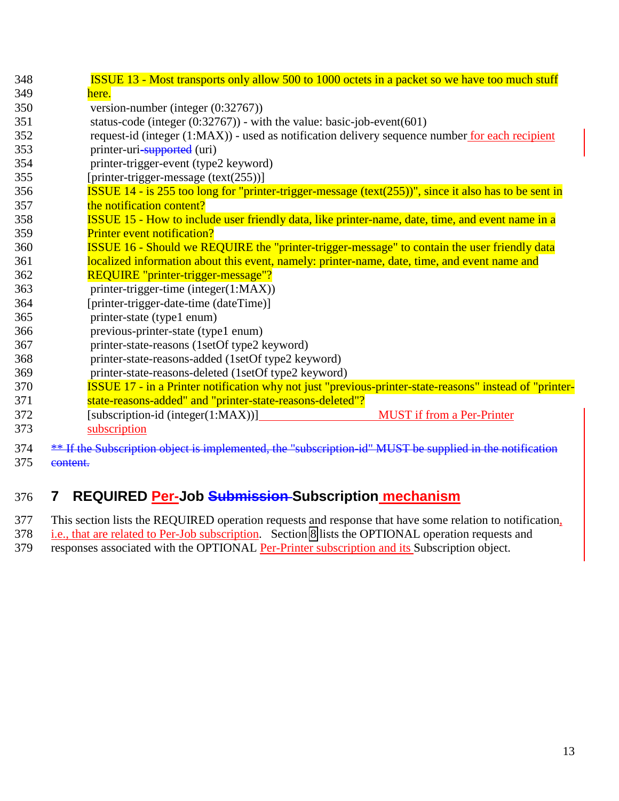<span id="page-12-0"></span>

| 348 | <b>ISSUE 13 - Most transports only allow 500 to 1000 octets in a packet so we have too much stuff</b>        |
|-----|--------------------------------------------------------------------------------------------------------------|
| 349 | here.                                                                                                        |
| 350 | version-number (integer $(0:32767)$ )                                                                        |
| 351 | status-code (integer $(0:32767)$ ) - with the value: basic-job-event(601)                                    |
| 352 | request-id (integer (1:MAX)) - used as notification delivery sequence number for each recipient              |
| 353 | printer-uri-supported (uri)                                                                                  |
| 354 | printer-trigger-event (type2 keyword)                                                                        |
| 355 | [printer-trigger-message (text(255))]                                                                        |
| 356 | <b>ISSUE 14 - is 255 too long for "printer-trigger-message (text(255))", since it also has to be sent in</b> |
| 357 | the notification content?                                                                                    |
| 358 | ISSUE 15 - How to include user friendly data, like printer-name, date, time, and event name in a             |
| 359 | <b>Printer event notification?</b>                                                                           |
| 360 | ISSUE 16 - Should we REQUIRE the "printer-trigger-message" to contain the user friendly data                 |
| 361 | localized information about this event, namely: printer-name, date, time, and event name and                 |
| 362 | REQUIRE "printer-trigger-message"?                                                                           |
| 363 | printer-trigger-time (integer(1:MAX))                                                                        |
| 364 | [printer-trigger-date-time (dateTime)]                                                                       |
| 365 | printer-state (type1 enum)                                                                                   |
| 366 | previous-printer-state (type1 enum)                                                                          |
| 367 | printer-state-reasons (1setOf type2 keyword)                                                                 |
| 368 | printer-state-reasons-added (1setOf type2 keyword)                                                           |
| 369 | printer-state-reasons-deleted (1setOf type2 keyword)                                                         |
| 370 | ISSUE 17 - in a Printer notification why not just "previous-printer-state-reasons" instead of "printer-      |
| 371 | state-reasons-added" and "printer-state-reasons-deleted"?                                                    |
| 372 | [subscription-id (integer(1:MAX))]<br><b>MUST</b> if from a Per-Printer                                      |
| 373 | subscription                                                                                                 |
| 374 | ** If the Subscription object is implemented, the "subscription-id" MUST be supplied in the notification     |
| 375 | content.                                                                                                     |

# 376 **7 REQUIRED Per-Job Submission Subscription mechanism**

377 This section lists the REQUIRED operation requests and response that have some relation to notification,

378 i.e., that are related to Per-Job subscription. Section [8](#page-13-0) lists the OPTIONAL operation requests and

379 responses associated with the OPTIONAL Per-Printer subscription and its Subscription object.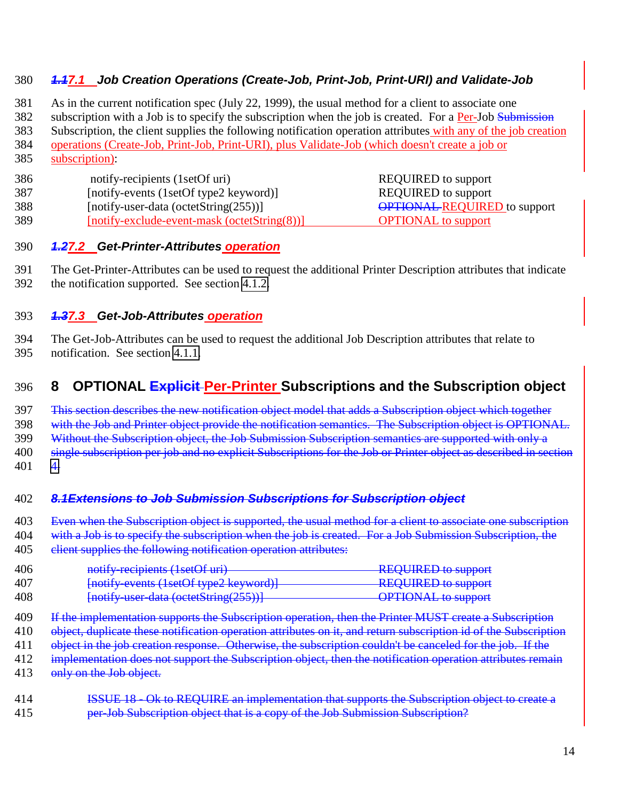## <span id="page-13-0"></span>380 *1.17.1 Job Creation Operations (Create-Job, Print-Job, Print-URI) and Validate-Job*

381 As in the current notification spec (July 22, 1999), the usual method for a client to associate one

382 subscription with a Job is to specify the subscription when the job is created. For a Per-Job Submission

- 383 Subscription, the client supplies the following notification operation attributes with any of the job creation
- 384 operations (Create-Job, Print-Job, Print-URI), plus Validate-Job (which doesn't create a job or 385 subscription):
- 
- 386 notify-recipients (1setOf uri) REQUIRED to support
- 387 [notify-events (1setOf type2 keyword)] REQUIRED to support
- 389 [notify-exclude-event-mask (octetString(8))] OPTIONAL to support

388 [notify-user-data (octetString(255))] OPTIONAL REQUIRED to support

## 390 *1.27.2 Get-Printer-Attributes operation*

391 The Get-Printer-Attributes can be used to request the additional Printer Description attributes that indicate 392 the notification supported. See section [4.1.2.](#page-7-0)

## 393 *1.37.3 Get-Job-Attributes operation*

394 The Get-Job-Attributes can be used to request the additional Job Description attributes that relate to 395 notification. See section [4.1.1.](#page-6-0)

# 396 **8 OPTIONAL Explicit Per-Printer Subscriptions and the Subscription object**

397 This section describes the new notification object model that adds a Subscription object which together

398 with the Job and Printer object provide the notification semantics. The Subscription object is OPTIONAL.

399 Without the Subscription object, the Job Submission Subscription semantics are supported with only a

400 single subscription per job and no explicit Subscriptions for the Job or Printer object as described in section

 $401 \quad 4.$  $401 \quad 4.$ 

## 402 *8.1Extensions to Job Submission Subscriptions for Subscription object*

403 Even when the Subscription object is supported, the usual method for a client to associate one subscription 404 with a Job is to specify the subscription when the job is created. For a Job Submission Subscription, the

405 elient supplies the following notification operation attributes:

| 406 | notify-recipients (1setOf uri)               | <b>REQUIRED to support</b> |
|-----|----------------------------------------------|----------------------------|
| 407 | [notify events (1setOf type2 keyword)]       | <b>REQUIRED to support</b> |
| 408 | $[$ notify user data (octetString $(255))$ ) | <b>OPTIONAL</b> to support |

- 409 If the implementation supports the Subscription operation, then the Printer MUST create a Subscription
- 410 object, duplicate these notification operation attributes on it, and return subscription id of the Subscription
- 411 object in the job creation response. Otherwise, the subscription couldn't be canceled for the job. If the
- 412 implementation does not support the Subscription object, then the notification operation attributes remain
- 413 only on the Job object.
- 414 **ISSUE 18 Ok to REQUIRE an implementation that supports the Subscription object to create a** 415 **per-Job Subscription object that is a copy of the Job Submission Subscription?**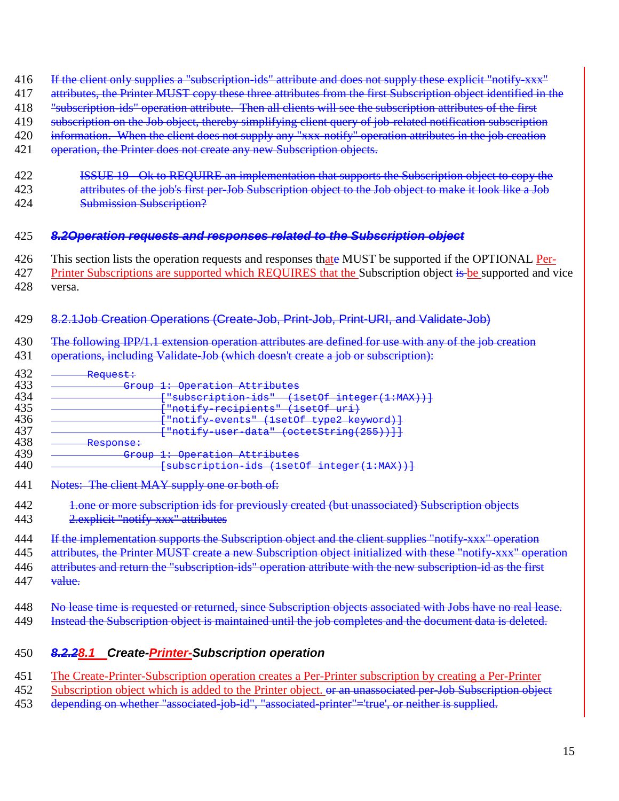- <span id="page-14-0"></span>416 If the client only supplies a "subscription-ids" attribute and does not supply these explicit "notify-xxx"
- 417 attributes, the Printer MUST copy these three attributes from the first Subscription object identified in the
- 418 "subscription-ids" operation attribute. Then all clients will see the subscription attributes of the first
- 419 subscription on the Job object, thereby simplifying client query of job-related notification subscription
- 420 information. When the client does not supply any "xxx-notify" operation attributes in the job creation
- 421 operation, the Printer does not create any new Subscription objects.
- 422 ISSUE 19 Ok to REQUIRE an implementation that supports the Subscription object to copy the 423 attributes of the job's first per-Job Subscription object to the Job object to make it look like a Job
- 424 Submission Subscription?

#### 425 *8.2Operation requests and responses related to the Subscription object*

- 426 This section lists the operation requests and responses thate MUST be supported if the OPTIONAL Per-427 Printer Subscriptions are supported which REQUIRES that the Subscription object is be supported and vice
- 428 versa.

## 429 8.2.1Job Creation Operations (Create-Job, Print-Job, Print-URI, and Validate-Job)

- 430 The following IPP/1.1 extension operation attributes are defined for use with any of the job creation 431 operations, including Validate-Job (which doesn't create a job or subscription):
- $\frac{432}{433}$   $\frac{\text{Request:}}{\text{Gr}}$ 433 Group 1: Operation Attributes 434 - <del>- - - - - | "subscription-ids" (1setOf integer(1:MAX))]</del><br>435 - - - - - <del>Frotify-recipients" (1setOf uri)</del> 435 ["notify-recipients" (1setOf uri) 436 - Thotify-events" (1set of type 2 keyword) + 437 - Thotify-events" (1set of type 2 keyword) + 437 437 - <del>The Finality user-data" (octetString(255))]]</del><br>438 - Response: 438 <del>- Response:</del><br>439 - <del>Response:</del> 439 Group 1: Operation Attributes [subscription-ids (1setOf integer(1:MAX))]
- 441 Notes: The client MAY supply one or both of:
- 442 1.one or more subscription ids for previously created (but unassociated) Subscription objects
- 443 2.explicit "notify-xxx" attributes
- 444 If the implementation supports the Subscription object and the client supplies "notify-xxx" operation 445 attributes, the Printer MUST create a new Subscription object initialized with these "notify-xxx" operation 446 attributes and return the "subscription-ids" operation attribute with the new subscription-id as the first 447 value.
- 448 No lease time is requested or returned, since Subscription objects associated with Jobs have no real lease. 449 Instead the Subscription object is maintained until the job completes and the document data is deleted.
- 450 *8.2.28.1 Create-Printer-Subscription operation*
- 451 The Create-Printer-Subscription operation creates a Per-Printer subscription by creating a Per-Printer
- 452 Subscription object which is added to the Printer object. <del>or an unassociated per Job Subscription object</del>
- 453 depending on whether "associated-job-id", "associated-printer"='true', or neither is supplied.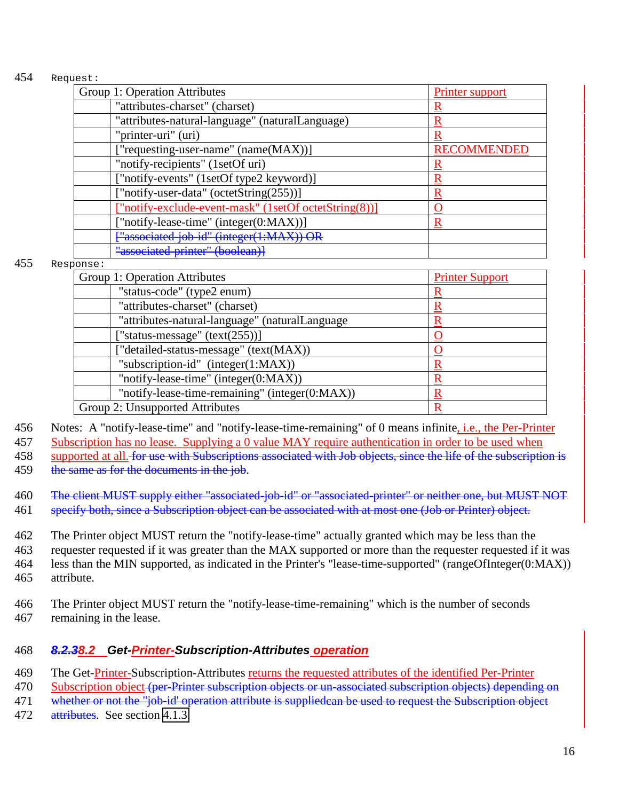#### <span id="page-15-0"></span>454 Request:

| Group 1: Operation Attributes                         | Printer support    |
|-------------------------------------------------------|--------------------|
| "attributes-charset" (charset)                        |                    |
| "attributes-natural-language" (naturalLanguage)       |                    |
| "printer-uri" (uri)                                   |                    |
| ["requesting-user-name" (name(MAX))]                  | <b>RECOMMENDED</b> |
| "notify-recipients" (1setOf uri)                      |                    |
| ["notify-events" (1setOf type2 keyword)]              |                    |
| ["notify-user-data" (octetString(255))]               | R                  |
| ["notify-exclude-event-mask" (1setOf octetString(8))] |                    |
| ["notify-lease-time" (integer(0:MAX))]                | R                  |
| ["associated-job-id" (integer(1:MAX)) OR              |                    |
| "associated-printer" (boolean)]                       |                    |

#### 455 Response:

| Group 1: Operation Attributes                  | <b>Printer Support</b> |
|------------------------------------------------|------------------------|
| "status-code" (type2 enum)                     |                        |
| "attributes-charset" (charset)                 |                        |
| "attributes-natural-language" (naturalLanguage |                        |
| ["status-message" (text(255))]                 |                        |
| ["detailed-status-message" (text(MAX))         |                        |
| "subscription-id" (integer $(1:MAX)$ )         |                        |
| "notify-lease-time" (integer(0:MAX))           |                        |
| "notify-lease-time-remaining" (integer(0:MAX)) |                        |
| Group 2: Unsupported Attributes                |                        |

456 Notes: A "notify-lease-time" and "notify-lease-time-remaining" of 0 means infinite, i.e., the Per-Printer

457 Subscription has no lease. Supplying a 0 value MAY require authentication in order to be used when

458 supported at all. for use with Subscriptions associated with Job objects, since the life of the subscription is

459 the same as for the documents in the job.

460 The client MUST supply either "associated-job-id" or "associated-printer" or neither one, but MUST NOT

461 specify both, since a Subscription object can be associated with at most one (Job or Printer) object.

 The Printer object MUST return the "notify-lease-time" actually granted which may be less than the requester requested if it was greater than the MAX supported or more than the requester requested if it was less than the MIN supported, as indicated in the Printer's "lease-time-supported" (rangeOfInteger(0:MAX)) attribute.

466 The Printer object MUST return the "notify-lease-time-remaining" which is the number of seconds 467 remaining in the lease.

## 468 *8.2.38.2 Get-Printer-Subscription-Attributes operation*

469 The Get-Printer-Subscription-Attributes returns the requested attributes of the identified Per-Printer

470 Subscription object (per-Printer subscription objects or un-associated subscription objects) depending on

471 whether or not the "job-id' operation attribute is suppliedcan be used to request the Subscription object

472 attributes. See section [4.1.3.](#page-8-0)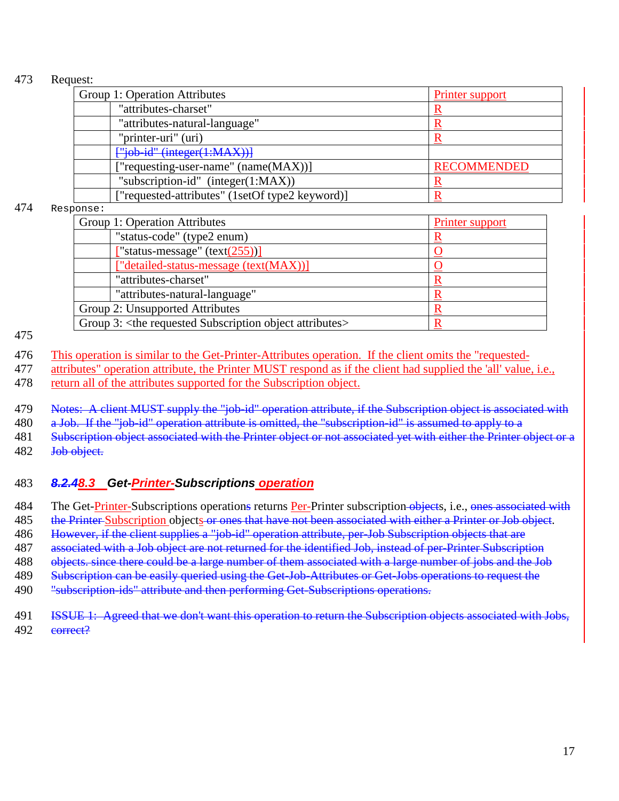#### <span id="page-16-0"></span>473 Request:

| Group 1: Operation Attributes                   | Printer support    |
|-------------------------------------------------|--------------------|
| "attributes-charset"                            |                    |
| "attributes-natural-language"                   |                    |
| "printer-uri" (uri)                             |                    |
| ["job-id" (integer(1:MAX))]                     |                    |
| ["requesting-user-name" (name(MAX))]            | <b>RECOMMENDED</b> |
| "subscription-id" $(integer(1:MAX))$            |                    |
| ["requested-attributes" (1setOf type2 keyword)] |                    |

#### 474 Response:

| Group 1: Operation Attributes                                             | <b>Printer support</b> |
|---------------------------------------------------------------------------|------------------------|
| "status-code" (type2 enum)                                                |                        |
| ["status-message" (text $(255)$ )]                                        |                        |
| ["detailed-status-message (text(MAX))]                                    |                        |
| "attributes-charset"                                                      |                        |
| "attributes-natural-language"                                             |                        |
| Group 2: Unsupported Attributes                                           |                        |
| Group 3: <the attributes="" object="" requested="" subscription=""></the> |                        |

475

476 This operation is similar to the Get-Printer-Attributes operation. If the client omits the "requested-

477 attributes" operation attribute, the Printer MUST respond as if the client had supplied the 'all' value, i.e.,

478 return all of the attributes supported for the Subscription object.

479 Notes: A client MUST supply the "job-id" operation attribute, if the Subscription object is associated with

480 a Job. If the "job-id" operation attribute is omitted, the "subscription-id" is assumed to apply to a

481 Subscription object associated with the Printer object or not associated yet with either the Printer object or a

482 <del>Job object.</del>

## 483 *8.2.48.3 Get-Printer-Subscriptions operation*

484 The Get-Printer-Subscriptions operations returns Per-Printer subscription-objects, i.e., ones associated with

485 the Printer-Subscription objects or ones that have not been associated with either a Printer or Job object.

486 However, if the client supplies a "job-id" operation attribute, per-Job Subscription objects that are

487 associated with a Job object are not returned for the identified Job, instead of per-Printer Subscription

488 objects. since there could be a large number of them associated with a large number of jobs and the Job

489 Subscription can be easily queried using the Get-Job-Attributes or Get-Jobs operations to request the

490 "subscription-ids" attribute and then performing Get-Subscriptions operations.

491 ISSUE 1: Agreed that we don't want this operation to return the Subscription objects associated with Jobs, 492 correct?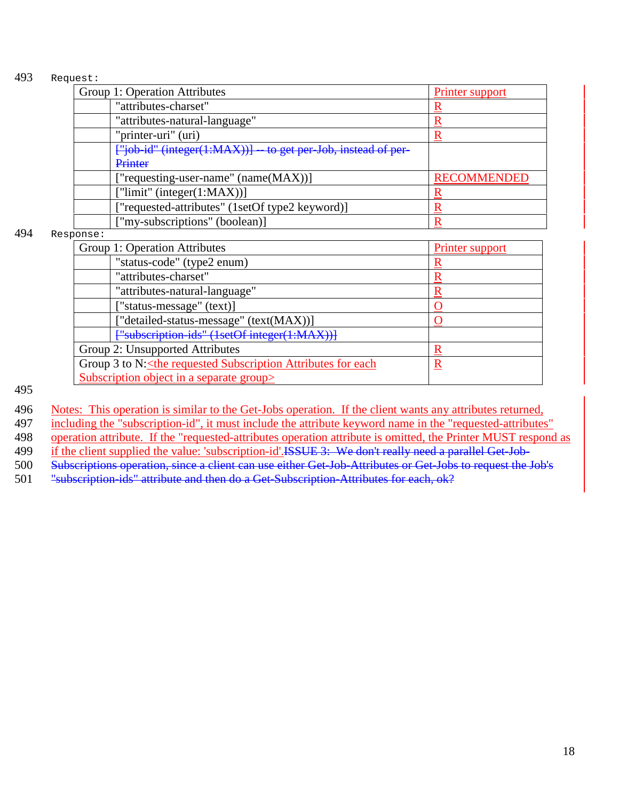#### 493 Request:

| Group 1: Operation Attributes                                  | Printer support    |
|----------------------------------------------------------------|--------------------|
| "attributes-charset"                                           |                    |
| "attributes-natural-language"                                  |                    |
| "printer-uri" (uri)                                            |                    |
| ["job-id" (integer(1:MAX))]<br>to get per Job, instead of per- |                    |
| Printer                                                        |                    |
| "requesting-user-name" (name(MAX))]                            | <b>RECOMMENDED</b> |
| ["limit" (integer $(1:MAX)$ ]                                  |                    |
| ["requested-attributes" (1setOf type2 keyword)]                |                    |
| ["my-subscriptions" (boolean)]                                 |                    |

494 Response:

| Group 1: Operation Attributes                                                                               | Printer support |
|-------------------------------------------------------------------------------------------------------------|-----------------|
| "status-code" (type2 enum)                                                                                  |                 |
| "attributes-charset"                                                                                        |                 |
| "attributes-natural-language"                                                                               | R               |
| ["status-message" (text)]                                                                                   |                 |
| ["detailed-status-message" (text(MAX))]                                                                     |                 |
| F"subscription-ids" (1setOf integer(1:MAX))]                                                                |                 |
| Group 2: Unsupported Attributes                                                                             | R               |
| Group 3 to N: <the attributes="" each<="" for="" requested="" subscription="" td=""><td><u>R</u></td></the> | <u>R</u>        |
| Subscription object in a separate group>                                                                    |                 |

495

496 Notes: This operation is similar to the Get-Jobs operation. If the client wants any attributes returned,

497 including the "subscription-id", it must include the attribute keyword name in the "requested-attributes"

498 operation attribute. If the "requested-attributes operation attribute is omitted, the Printer MUST respond as

499 if the client supplied the value: 'subscription-id'.<del>ISSUE 3: We don't really need a parallel Get Job</del>-

500 Subscriptions operation, since a client can use either Get-Job-Attributes or Get-Jobs to request the Job's

501 "subscription-ids" attribute and then do a Get-Subscription-Attributes for each, ok?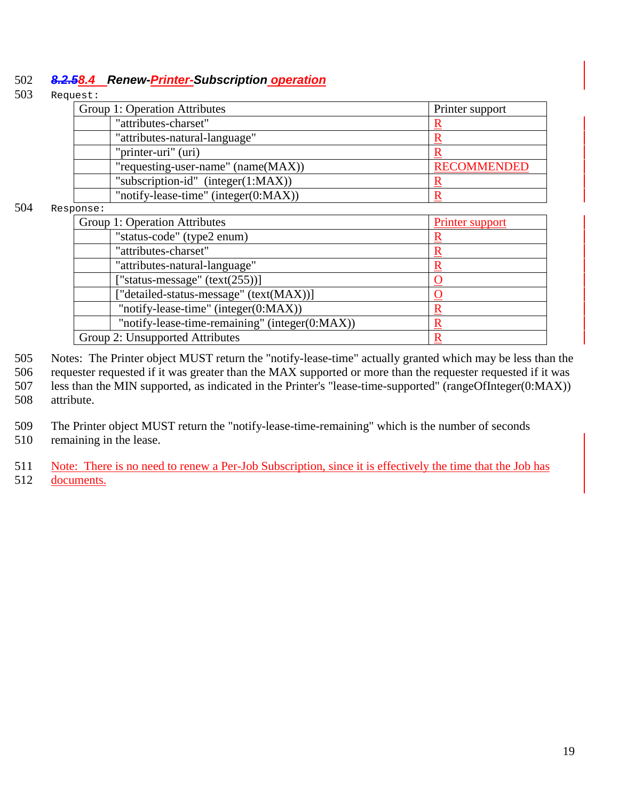### <span id="page-18-0"></span>502 *8.2.58.4 Renew-Printer-Subscription operation*

#### 503 Request:

| Group 1: Operation Attributes            | Printer support    |
|------------------------------------------|--------------------|
| "attributes-charset"                     |                    |
| "attributes-natural-language"            |                    |
| "printer-uri" (uri)                      |                    |
| "requesting-user-name" (name(MAX))       | <b>RECOMMENDED</b> |
| "subscription-id" (integer $(1:MAX)$ )   |                    |
| "notify-lease-time" (integer $(0:MAX)$ ) |                    |

#### 504 Response:

| U110 C .                                       |                 |
|------------------------------------------------|-----------------|
| Group 1: Operation Attributes                  | Printer support |
| "status-code" (type2 enum)                     |                 |
| "attributes-charset"                           |                 |
| "attributes-natural-language"                  |                 |
| ["status-message" $(text(255))]$               |                 |
| ["detailed-status-message" (text(MAX))]        |                 |
| "notify-lease-time" (integer(0:MAX))           |                 |
| "notify-lease-time-remaining" (integer(0:MAX)) |                 |
| Group 2: Unsupported Attributes                |                 |
|                                                |                 |

505 Notes: The Printer object MUST return the "notify-lease-time" actually granted which may be less than the

506 requester requested if it was greater than the MAX supported or more than the requester requested if it was 507 less than the MIN supported, as indicated in the Printer's "lease-time-supported" (rangeOfInteger(0:MAX)) 508 attribute.

509 The Printer object MUST return the "notify-lease-time-remaining" which is the number of seconds

510 remaining in the lease.

511 Note: There is no need to renew a Per-Job Subscription, since it is effectively the time that the Job has 512 documents.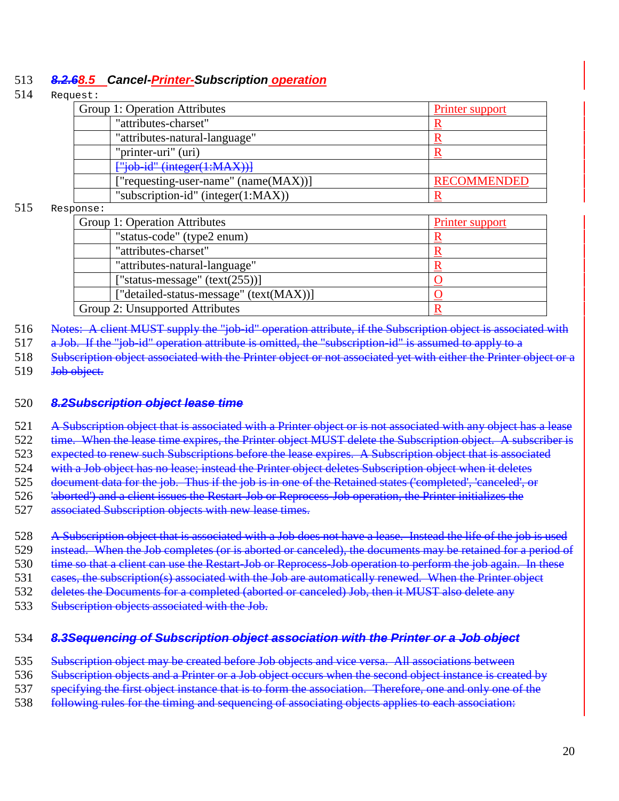## <span id="page-19-0"></span>513 *8.2.68.5 Cancel-Printer-Subscription operation*

#### 514 Request:

| Group 1: Operation Attributes            | Printer support    |
|------------------------------------------|--------------------|
| "attributes-charset"                     |                    |
| "attributes-natural-language"            |                    |
| "printer-uri" (uri)                      |                    |
| $\frac{166}{100}$ +id" (integer(1:MAX))] |                    |
| ["requesting-user-name" (name(MAX))]     | <b>RECOMMENDED</b> |
| "subscription-id" (integer $(1:MAX)$ )   |                    |

#### 515 Response:

| Group 1: Operation Attributes           | <b>Printer support</b> |
|-----------------------------------------|------------------------|
| "status-code" (type2 enum)              |                        |
| "attributes-charset"                    |                        |
| "attributes-natural-language"           |                        |
| ["status-message" $(text(255))]$        |                        |
| ["detailed-status-message" (text(MAX))] |                        |
| Group 2: Unsupported Attributes         |                        |

516 Notes: A client MUST supply the "job-id" operation attribute, if the Subscription object is associated with

517 a Job. If the "job-id" operation attribute is omitted, the "subscription-id" is assumed to apply to a

518 Subscription object associated with the Printer object or not associated yet with either the Printer object or a 519 <del>Job object.</del>

#### 520 *8.2Subscription object lease time*

521 A Subscription object that is associated with a Printer object or is not associated with any object has a lease

522 time. When the lease time expires, the Printer object MUST delete the Subscription object. A subscriber is 523 expected to renew such Subscriptions before the lease expires. A Subscription object that is associated

524 with a Job object has no lease; instead the Printer object deletes Subscription object when it deletes

525 document data for the job. Thus if the job is in one of the Retained states ('completed', 'canceled', or

526 'aborted') and a client issues the Restart-Job or Reprocess-Job operation, the Printer initializes the

527 associated Subscription objects with new lease times.

- 528 A Subscription object that is associated with a Job does not have a lease. Instead the life of the job is used 529 instead. When the Job completes (or is aborted or canceled), the documents may be retained for a period of
- 530 time so that a client can use the Restart-Job or Reprocess-Job operation to perform the job again. In these
- 531 eases, the subscription(s) associated with the Job are automatically renewed. When the Printer object
- 532 deletes the Documents for a completed (aborted or canceled) Job, then it MUST also delete any
- 533 Subscription objects associated with the Job.

#### 534 *8.3Sequencing of Subscription object association with the Printer or a Job object*

- 535 Subscription object may be created before Job objects and vice versa. All associations between
- 536 Subscription objects and a Printer or a Job object occurs when the second object instance is created by
- 537 specifying the first object instance that is to form the association. Therefore, one and only one of the
- 538 following rules for the timing and sequencing of associating objects applies to each association: